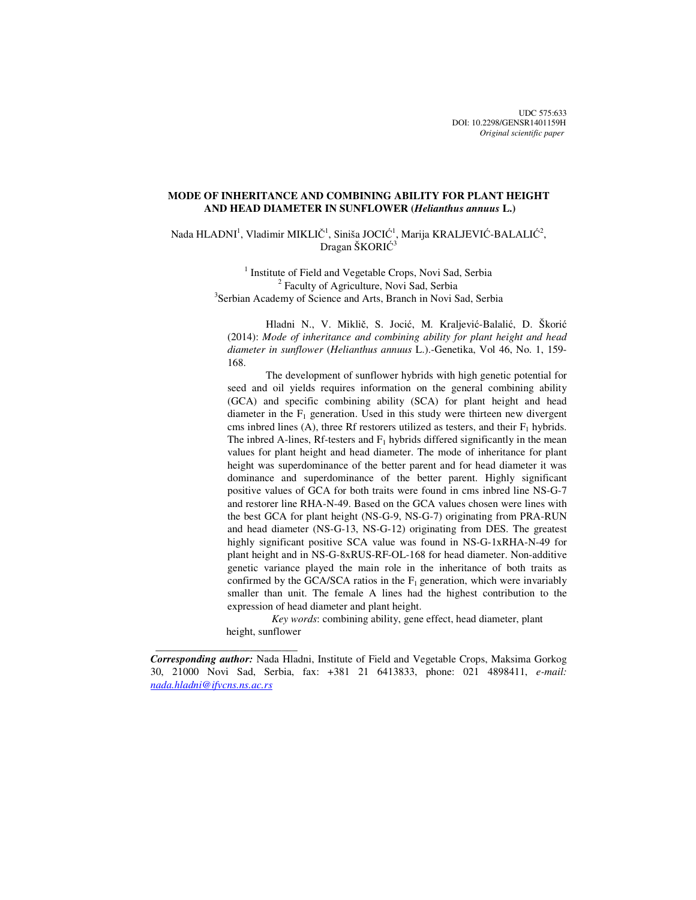UDC 575:633 DOI: 10.2298/GENSR1401159H *Original scientific paper*

# **MODE OF INHERITANCE AND COMBINING ABILITY FOR PLANT HEIGHT AND HEAD DIAMETER IN SUNFLOWER (***Helianthus annuus* **L.)**

Nada HLADNI<sup>1</sup>, Vladimir MIKLIČ<sup>1</sup>, Siniša JOCIĆ<sup>1</sup>, Marija KRALJEVIĆ-BALALIĆ<sup>2</sup>, Dragan ŠKORIĆ<sup>3</sup>

> <sup>1</sup> Institute of Field and Vegetable Crops, Novi Sad, Serbia <sup>2</sup> Faculty of Agriculture, Novi Sad, Serbia <sup>3</sup>Serbian Academy of Science and Arts, Branch in Novi Sad, Serbia

Hladni N., V. Miklič, S. Jocić, M. Kraljević-Balalić, D. Škorić (2014): *Mode of inheritance and combining ability for plant height and head diameter in sunflower* (*Helianthus annuus* L.).-Genetika, Vol 46, No. 1, 159- 168.

The development of sunflower hybrids with high genetic potential for seed and oil yields requires information on the general combining ability (GCA) and specific combining ability (SCA) for plant height and head diameter in the  $F_1$  generation. Used in this study were thirteen new divergent cms inbred lines (A), three Rf restorers utilized as testers, and their  $F_1$  hybrids. The inbred A-lines, Rf-testers and  $F_1$  hybrids differed significantly in the mean values for plant height and head diameter. The mode of inheritance for plant height was superdominance of the better parent and for head diameter it was dominance and superdominance of the better parent. Highly significant positive values of GCA for both traits were found in cms inbred line NS-G-7 and restorer line RHA-N-49. Based on the GCA values chosen were lines with the best GCA for plant height (NS-G-9, NS-G-7) originating from PRA-RUN and head diameter (NS-G-13, NS-G-12) originating from DES. The greatest highly significant positive SCA value was found in NS-G-1xRHA-N-49 for plant height and in NS-G-8xRUS-RF-OL-168 for head diameter. Non-additive genetic variance played the main role in the inheritance of both traits as confirmed by the GCA/SCA ratios in the  $F_1$  generation, which were invariably smaller than unit. The female A lines had the highest contribution to the expression of head diameter and plant height.

*Key words*: combining ability, gene effect, head diameter, plant height, sunflower

 $\frac{1}{\sqrt{2\pi}}\left[\frac{1}{2(1-2\pi)^2}\left(1-\frac{1}{2(1-2\pi)^2}\left(1-\frac{1}{2(1-2\pi)^2}\right)\right)\right],$ 

*Corresponding author:* Nada Hladni, Institute of Field and Vegetable Crops, Maksima Gorkog 30, 21000 Novi Sad, Serbia, fax: +381 21 6413833, phone: 021 4898411, *e-mail: nada.hladni@ifvcns.ns.ac.rs*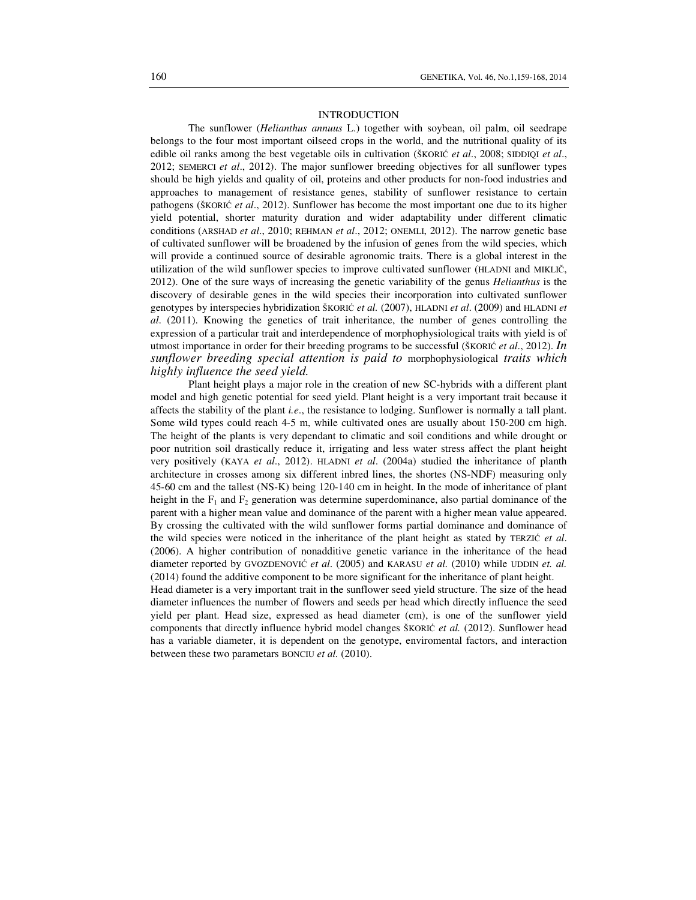#### INTRODUCTION

The sunflower (*Helianthus annuus* L.) together with soybean, oil palm, oil seedrape belongs to the four most important oilseed crops in the world, and the nutritional quality of its edible oil ranks among the best vegetable oils in cultivation (ŠKORIĆ *et al*., 2008; SIDDIQI *et al*., 2012; SEMERCI *et al*., 2012). The major sunflower breeding objectives for all sunflower types should be high yields and quality of oil, proteins and other products for non-food industries and approaches to management of resistance genes, stability of sunflower resistance to certain pathogens (ŠKORIĆ *et al*., 2012). Sunflower has become the most important one due to its higher yield potential, shorter maturity duration and wider adaptability under different climatic conditions (ARSHAD *et al*., 2010; REHMAN *et al*., 2012; ONEMLI, 2012). The narrow genetic base of cultivated sunflower will be broadened by the infusion of genes from the wild species, which will provide a continued source of desirable agronomic traits. There is a global interest in the utilization of the wild sunflower species to improve cultivated sunflower (HLADNI and MIKLIČ, 2012). One of the sure ways of increasing the genetic variability of the genus *Helianthus* is the discovery of desirable genes in the wild species their incorporation into cultivated sunflower genotypes by interspecies hybridization ŠKORIĆ *et al.* (2007), HLADNI *et al*. (2009) and HLADNI *et al*. (2011). Knowing the genetics of trait inheritance, the number of genes controlling the expression of a particular trait and interdependence of morphophysiological traits with yield is of utmost importance in order for their breeding programs to be successful (ŠKORI<sup>Ć</sup> *et al*., 2012). *In sunflower breeding special attention is paid to* morphophysiological *traits which highly influence the seed yield.*

Plant height plays a major role in the creation of new SC-hybrids with a different plant model and high genetic potential for seed yield. Plant height is a very important trait because it affects the stability of the plant *i.e*., the resistance to lodging. Sunflower is normally a tall plant. Some wild types could reach 4-5 m, while cultivated ones are usually about 150-200 cm high. The height of the plants is very dependant to climatic and soil conditions and while drought or poor nutrition soil drastically reduce it, irrigating and less water stress affect the plant height very positively (KAYA *et al*., 2012). HLADNI *et al*. (2004a) studied the inheritance of planth architecture in crosses among six different inbred lines, the shortes (NS-NDF) measuring only 45-60 cm and the tallest (NS-K) being 120-140 cm in height. In the mode of inheritance of plant height in the  $F_1$  and  $F_2$  generation was determine superdominance, also partial dominance of the parent with a higher mean value and dominance of the parent with a higher mean value appeared. By crossing the cultivated with the wild sunflower forms partial dominance and dominance of the wild species were noticed in the inheritance of the plant height as stated by TERZIĆ *et al*. (2006). A higher contribution of nonadditive genetic variance in the inheritance of the head diameter reported by GVOZDENOVIĆ *et al*. (2005) and KARASU *et al.* (2010) while UDDIN *et. al.* (2014) found the additive component to be more significant for the inheritance of plant height. Head diameter is a very important trait in the sunflower seed yield structure. The size of the head

diameter influences the number of flowers and seeds per head which directly influence the seed yield per plant. Head size, expressed as head diameter (cm), is one of the sunflower yield components that directly influence hybrid model changes ŠKORIĆ *et al.* (2012). Sunflower head has a variable diameter, it is dependent on the genotype, enviromental factors, and interaction between these two parametars BONCIU *et al.* (2010).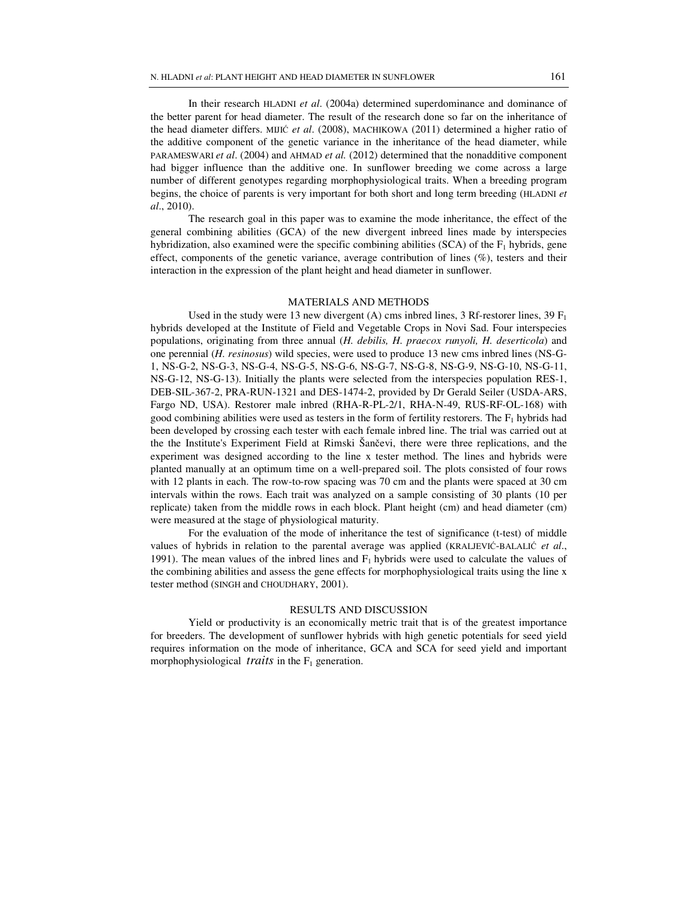In their research HLADNI *et al*. (2004a) determined superdominance and dominance of the better parent for head diameter. The result of the research done so far on the inheritance of the head diameter differs. MIJIĆ *et al*. (2008), MACHIKOWA (2011) determined a higher ratio of the additive component of the genetic variance in the inheritance of the head diameter, while PARAMESWARI *et al*. (2004) and AHMAD *et al.* (2012) determined that the nonadditive component had bigger influence than the additive one. In sunflower breeding we come across a large number of different genotypes regarding morphophysiological traits. When a breeding program begins, the choice of parents is very important for both short and long term breeding (HLADNI *et al*., 2010).

The research goal in this paper was to examine the mode inheritance, the effect of the general combining abilities (GCA) of the new divergent inbreed lines made by interspecies hybridization, also examined were the specific combining abilities (SCA) of the  $F_1$  hybrids, gene effect, components of the genetic variance, average contribution of lines (%), testers and their interaction in the expression of the plant height and head diameter in sunflower.

# MATERIALS AND METHODS

Used in the study were 13 new divergent (A) cms inbred lines, 3 Rf-restorer lines, 39  $F_1$ hybrids developed at the Institute of Field and Vegetable Crops in Novi Sad. Four interspecies populations, originating from three annual (*H. debilis, H. praecox runyoli, H. deserticola*) and one perennial (*H. resinosus*) wild species, were used to produce 13 new cms inbred lines (NS-G-1, NS-G-2, NS-G-3, NS-G-4, NS-G-5, NS-G-6, NS-G-7, NS-G-8, NS-G-9, NS-G-10, NS-G-11, NS-G-12, NS-G-13). Initially the plants were selected from the interspecies population RES-1, DEB-SIL-367-2, PRA-RUN-1321 and DES-1474-2, provided by Dr Gerald Seiler (USDA-ARS, Fargo ND, USA). Restorer male inbred (RHA-R-PL-2/1, RHA-N-49, RUS-RF-OL-168) with good combining abilities were used as testers in the form of fertility restorers. The  $F_1$  hybrids had been developed by crossing each tester with each female inbred line. The trial was carried out at the the Institute's Experiment Field at Rimski Šančevi, there were three replications, and the experiment was designed according to the line x tester method. The lines and hybrids were planted manually at an optimum time on a well-prepared soil. The plots consisted of four rows with 12 plants in each. The row-to-row spacing was 70 cm and the plants were spaced at 30 cm intervals within the rows. Each trait was analyzed on a sample consisting of 30 plants (10 per replicate) taken from the middle rows in each block. Plant height (cm) and head diameter (cm) were measured at the stage of physiological maturity.

For the evaluation of the mode of inheritance the test of significance (t-test) of middle values of hybrids in relation to the parental average was applied (KRALJEVIĆ-BALALIĆ *et al*., 1991). The mean values of the inbred lines and  $F_1$  hybrids were used to calculate the values of the combining abilities and assess the gene effects for morphophysiological traits using the line x tester method (SINGH and CHOUDHARY, 2001).

# RESULTS AND DISCUSSION

Yield or productivity is an economically metric trait that is of the greatest importance for breeders. The development of sunflower hybrids with high genetic potentials for seed yield requires information on the mode of inheritance, GCA and SCA for seed yield and important morphophysiological *traits* in the  $F_1$  generation.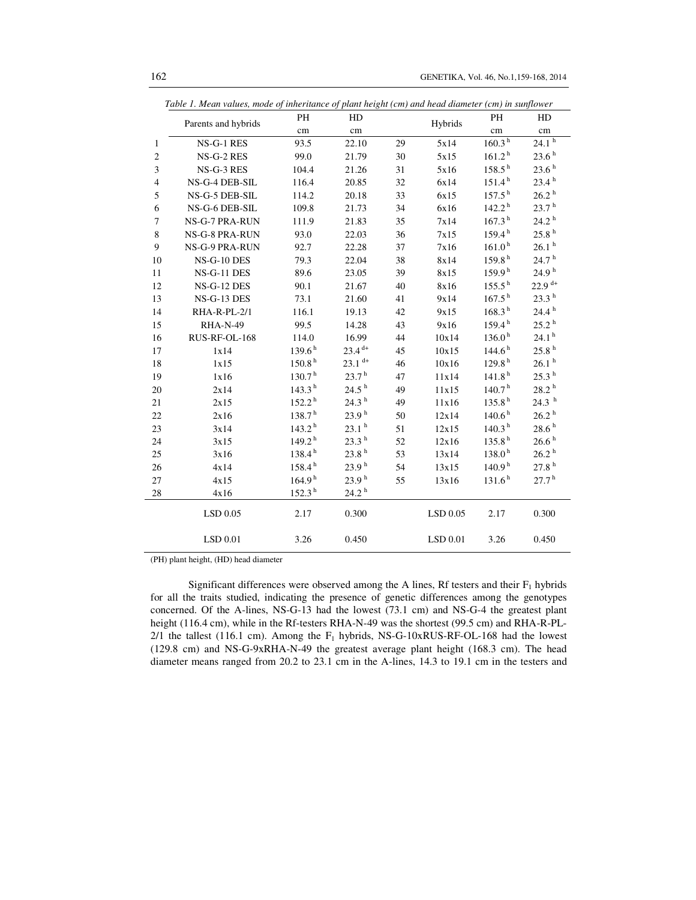|                | Table 1. Mean values, mode of inheritance of plant height (cm) and head diameter (cm) in sunflower |                    |                      |         |            |                      |                      |
|----------------|----------------------------------------------------------------------------------------------------|--------------------|----------------------|---------|------------|----------------------|----------------------|
|                | Parents and hybrids                                                                                | PH                 | HD                   | Hybrids |            | PH                   | HD                   |
|                |                                                                                                    | cm                 | cm                   |         |            | cm                   | cm                   |
| 1              | NS-G-1 RES                                                                                         | 93.5               | 22.10                | 29      | 5x14       | 160.3 <sup>h</sup>   | $24.1h{h}$           |
| $\overline{c}$ | NS-G-2 RES                                                                                         | 99.0               | 21.79                | 30      | 5x15       | 161.2 <sup>h</sup>   | 23.6 <sup>h</sup>    |
| 3              | NS-G-3 RES                                                                                         | 104.4              | 21.26                | 31      | 5x16       | $158.5^{h}$          | 23.6 <sup>h</sup>    |
| $\overline{4}$ | NS-G-4 DEB-SIL                                                                                     | 116.4              | 20.85                | 32      | 6x14       | $151.4^{\mathrm{h}}$ | 23.4 <sup>h</sup>    |
| 5              | NS-G-5 DEB-SIL                                                                                     | 114.2              | 20.18                | 33      | 6x15       | $157.5^{\mathrm{h}}$ | 26.2 h               |
| 6              | NS-G-6 DEB-SIL                                                                                     | 109.8              | 21.73                | 34      | 6x16       | $142.2^{\mathrm{h}}$ | 23.7h                |
| $\overline{7}$ | <b>NS-G-7 PRA-RUN</b>                                                                              | 111.9              | 21.83                | 35      | 7x14       | 167.3 <sup>h</sup>   | $24.2$ $^{\rm h}$    |
| 8              | NS-G-8 PRA-RUN                                                                                     | 93.0               | 22.03                | 36      | 7x15       | 159.4 <sup>h</sup>   | 25.8 <sup>h</sup>    |
| 9              | NS-G-9 PRA-RUN                                                                                     | 92.7               | 22.28                | 37      | 7x16       | 161.0 <sup>h</sup>   | 26.1hh               |
| 10             | NS-G-10 DES                                                                                        | 79.3               | 22.04                | 38      | 8x14       | 159.8 <sup>h</sup>   | $24.7h{h}$           |
| 11             | NS-G-11 DES                                                                                        | 89.6               | 23.05                | 39      | 8x15       | 159.9 <sup>h</sup>   | 24.9 <sup>h</sup>    |
| 12             | <b>NS-G-12 DES</b>                                                                                 | 90.1               | 21.67                | 40      | 8x16       | $155.5^{\ h}$        | $22.9$ <sup>d+</sup> |
| 13             | NS-G-13 DES                                                                                        | 73.1               | 21.60                | 41      | 9x14       | 167.5 <sup>h</sup>   | 23.3 <sup>h</sup>    |
| 14             | RHA-R-PL-2/1                                                                                       | 116.1              | 19.13                | 42      | 9x15       | 168.3 <sup>h</sup>   | 24.4 <sup>h</sup>    |
| 15             | <b>RHA-N-49</b>                                                                                    | 99.5               | 14.28                | 43      | 9x16       | 159.4 <sup>h</sup>   | 25.2 h               |
| 16             | RUS-RF-OL-168                                                                                      | 114.0              | 16.99                | 44      | 10x14      | 136.0 <sup>h</sup>   | 24.1 <sup>h</sup>    |
| 17             | 1x14                                                                                               | 139.6 <sup>h</sup> | $23.4$ <sup>d+</sup> | 45      | 10x15      | 144.6 <sup>h</sup>   | 25.8 <sup>h</sup>    |
| 18             | 1x15                                                                                               | 150.8 <sup>h</sup> | $23.1$ <sup>d+</sup> | 46      | 10x16      | 129.8 <sup>h</sup>   | 26.1 <sup>h</sup>    |
| 19             | 1x16                                                                                               | 130.7 <sup>h</sup> | 23.7 <sup>h</sup>    | 47      | 11x14      | 141.8 <sup>h</sup>   | 25.3 <sup>h</sup>    |
| 20             | 2x14                                                                                               | 143.3 <sup>h</sup> | 24.5 <sup>h</sup>    | 49      | 11x15      | 140.7 <sup>h</sup>   | $28.2\,^{\rm h}$     |
| 21             | 2x15                                                                                               | 152.2 <sup>h</sup> | 24.3 <sup>h</sup>    | 49      | 11x16      | 135.8 <sup>h</sup>   | 24.3hh               |
| 22             | 2x16                                                                                               | 138.7 <sup>h</sup> | 23.9 <sup>h</sup>    | 50      | 12x14      | 140.6 <sup>h</sup>   | $26.2$ $^{\rm h}$    |
| 23             | 3x14                                                                                               | 143.2 <sup>h</sup> | 23.1 <sup>h</sup>    | 51      | 12x15      | 140.3 <sup>h</sup>   | $28.6^{\text{ h}}$   |
| 24             | 3x15                                                                                               | 149.2 <sup>h</sup> | 23.3 <sup>h</sup>    | 52      | 12x16      | 135.8 <sup>h</sup>   | $26.6^{\text{ h}}$   |
| 25             | 3x16                                                                                               | 138.4 <sup>h</sup> | 23.8 <sup>h</sup>    | 53      | 13x14      | 138.0 <sup>h</sup>   | 26.2 h               |
| 26             | 4x14                                                                                               | 158.4 <sup>h</sup> | 23.9 <sup>h</sup>    | 54      | 13x15      | 140.9 <sup>h</sup>   | 27.8 <sup>h</sup>    |
| 27             | 4x15                                                                                               | 164.9 <sup>h</sup> | 23.9 <sup>h</sup>    | 55      | 13x16      | 131.6 <sup>h</sup>   | $27.7^{\,\rm h}$     |
| 28             | 4x16                                                                                               | 152.3 <sup>h</sup> | 24.2 <sup>h</sup>    |         |            |                      |                      |
|                | $LSD$ 0.05                                                                                         | 2.17               | 0.300                |         | $LSD$ 0.05 | 2.17                 | 0.300                |
|                | LSD 0.01                                                                                           | 3.26               | 0.450                |         | LSD 0.01   | 3.26                 | 0.450                |

(PH) plant height, (HD) head diameter

 $\overline{\phantom{0}}$ 

Significant differences were observed among the A lines, Rf testers and their  $F_1$  hybrids for all the traits studied, indicating the presence of genetic differences among the genotypes concerned. Of the A-lines, NS-G-13 had the lowest (73.1 cm) and NS-G-4 the greatest plant height (116.4 cm), while in the Rf-testers RHA-N-49 was the shortest (99.5 cm) and RHA-R-PL- $2/1$  the tallest (116.1 cm). Among the  $F_1$  hybrids, NS-G-10xRUS-RF-OL-168 had the lowest (129.8 cm) and NS-G-9xRHA-N-49 the greatest average plant height (168.3 cm). The head diameter means ranged from 20.2 to 23.1 cm in the A-lines, 14.3 to 19.1 cm in the testers and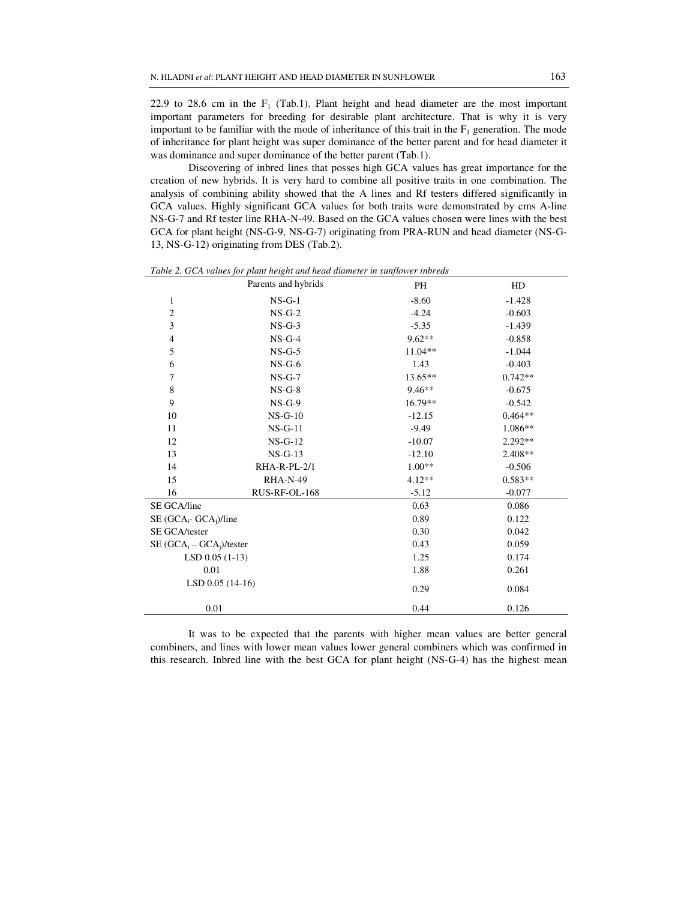22.9 to 28.6 cm in the  $F_1$  (Tab.1). Plant height and head diameter are the most important important parameters for breeding for desirable plant architecture. That is why it is very important to be familiar with the mode of inheritance of this trait in the  $F_1$  generation. The mode of inheritance for plant height was super dominance of the better parent and for head diameter it was dominance and super dominance of the better parent (Tab.1).

Discovering of inbred lines that posses high GCA values has great importance for the creation of new hybrids. It is very hard to combine all positive traits in one combination. The analysis of combining ability showed that the A lines and Rf testers differed significantly in GCA values. Highly significant GCA values for both traits were demonstrated by cms A-line NS-G-7 and Rf tester line RHA-N-49. Based on the GCA values chosen were lines with the best GCA for plant height (NS-G-9, NS-G-7) originating from PRA-RUN and head diameter (NS-G-13, NS-G-12) originating from DES (Tab.2).

|                            | Parents and hybrids | PH        | HD        |
|----------------------------|---------------------|-----------|-----------|
| $\mathbf{1}$               | $NS-G-1$            | $-8.60$   | $-1.428$  |
| $\overline{c}$             | $NS-G-2$            | $-4.24$   | $-0.603$  |
| 3                          | $NS-G-3$            | $-5.35$   | $-1.439$  |
| 4                          | $NS-G-4$            | $9.62**$  | $-0.858$  |
| 5                          | $NS-G-5$            | $11.04**$ | $-1.044$  |
| 6                          | $NS-G-6$            | 1.43      | $-0.403$  |
| 7                          | $NS-G-7$            | $13.65**$ | $0.742**$ |
| 8                          | $NS-G-8$            | $9.46**$  | $-0.675$  |
| 9                          | $NS-G-9$            | 16.79**   | $-0.542$  |
| 10                         | $NS-G-10$           | $-12.15$  | $0.464**$ |
| 11                         | $NS-G-11$           | $-9.49$   | 1.086**   |
| 12                         | $NS-G-12$           | $-10.07$  | $2.292**$ |
| 13                         | $NS-G-13$           | $-12.10$  | $2.408**$ |
| 14                         | RHA-R-PL-2/1        | $1.00**$  | $-0.506$  |
| 15                         | <b>RHA-N-49</b>     | $4.12**$  | $0.583**$ |
| 16                         | RUS-RF-OL-168       | $-5.12$   | $-0.077$  |
| SE GCA/line                |                     | 0.63      | 0.086     |
| $SE(GCA_i- GCA_i)/line$    |                     | 0.89      | 0.122     |
| SE GCA/tester              |                     | 0.30      | 0.042     |
| $SE(GCA_i - GCA_i)/tester$ |                     | 0.43      | 0.059     |
|                            | $LSD$ 0.05 (1-13)   | 1.25      | 0.174     |
| 0.01                       |                     | 1.88      | 0.261     |
|                            | $LSD$ 0.05 (14-16)  | 0.29      | 0.084     |
| 0.01                       |                     | 0.44      | 0.126     |

*Table 2. GCA values for plant height and head diameter in sunflower inbreds* 

It was to be expected that the parents with higher mean values are better general combiners, and lines with lower mean values lower general combiners which was confirmed in this research. Inbred line with the best GCA for plant height (NS-G-4) has the highest mean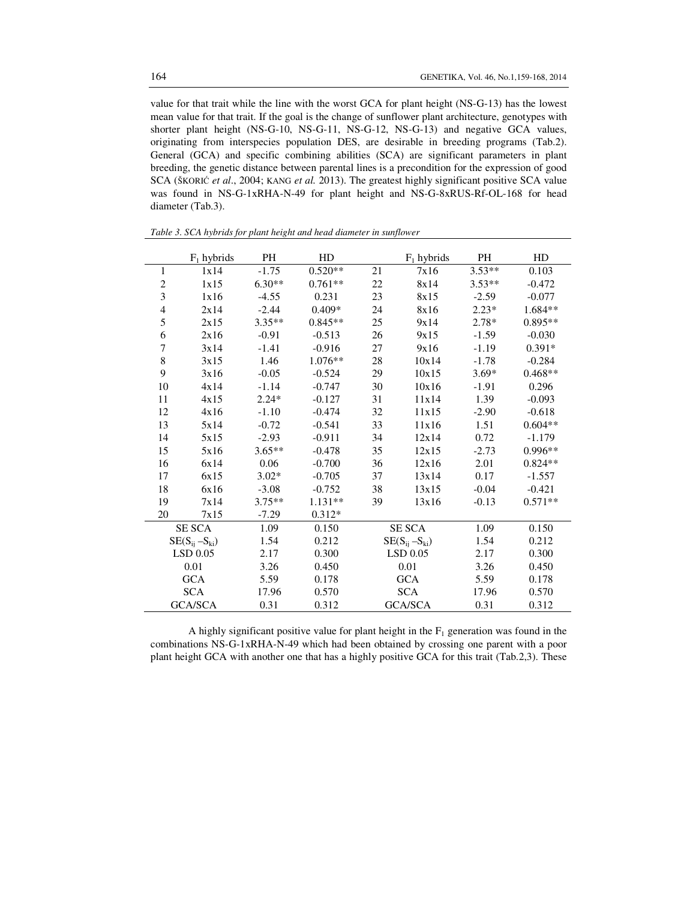value for that trait while the line with the worst GCA for plant height (NS-G-13) has the lowest mean value for that trait. If the goal is the change of sunflower plant architecture, genotypes with shorter plant height (NS-G-10, NS-G-11, NS-G-12, NS-G-13) and negative GCA values, originating from interspecies population DES, are desirable in breeding programs (Tab.2). General (GCA) and specific combining abilities (SCA) are significant parameters in plant breeding, the genetic distance between parental lines is a precondition for the expression of good SCA (ŠKORIĆ *et al*., 2004; KANG *et al.* 2013). The greatest highly significant positive SCA value was found in NS-G-1xRHA-N-49 for plant height and NS-G-8xRUS-Rf-OL-168 for head diameter (Tab.3).

|                         | $F_1$ hybrids         | <b>PH</b> | HD        |    | $F_1$ hybrids         | <b>PH</b> | HD        |
|-------------------------|-----------------------|-----------|-----------|----|-----------------------|-----------|-----------|
| 1                       | 1x14                  | $-1.75$   | $0.520**$ | 21 | 7x16                  | $3.53**$  | 0.103     |
| $\overline{c}$          | 1x15                  | $6.30**$  | $0.761**$ | 22 | 8x14                  | $3.53**$  | $-0.472$  |
| $\overline{\mathbf{3}}$ | 1x16                  | $-4.55$   | 0.231     | 23 | 8x15                  | $-2.59$   | $-0.077$  |
| 4                       | 2x14                  | $-2.44$   | $0.409*$  | 24 | 8x16                  | $2.23*$   | $1.684**$ |
| 5                       | 2x15                  | $3.35**$  | $0.845**$ | 25 | 9x14                  | $2.78*$   | $0.895**$ |
| 6                       | 2x16                  | $-0.91$   | $-0.513$  | 26 | 9x15                  | $-1.59$   | $-0.030$  |
| 7                       | 3x14                  | $-1.41$   | $-0.916$  | 27 | 9x16                  | $-1.19$   | $0.391*$  |
| 8                       | 3x15                  | 1.46      | $1.076**$ | 28 | 10x14                 | $-1.78$   | $-0.284$  |
| 9                       | 3x16                  | $-0.05$   | $-0.524$  | 29 | 10x15                 | $3.69*$   | $0.468**$ |
| 10                      | 4x14                  | $-1.14$   | $-0.747$  | 30 | 10x16                 | $-1.91$   | 0.296     |
| 11                      | 4x15                  | $2.24*$   | $-0.127$  | 31 | 11x14                 | 1.39      | $-0.093$  |
| 12                      | 4x16                  | $-1.10$   | $-0.474$  | 32 | 11x15                 | $-2.90$   | $-0.618$  |
| 13                      | 5x14                  | $-0.72$   | $-0.541$  | 33 | 11x16                 | 1.51      | $0.604**$ |
| 14                      | 5x15                  | $-2.93$   | $-0.911$  | 34 | 12x14                 | 0.72      | $-1.179$  |
| 15                      | 5x16                  | $3.65**$  | $-0.478$  | 35 | 12x15                 | $-2.73$   | $0.996**$ |
| 16                      | 6x14                  | 0.06      | $-0.700$  | 36 | 12x16                 | 2.01      | $0.824**$ |
| 17                      | 6x15                  | $3.02*$   | $-0.705$  | 37 | 13x14                 | 0.17      | $-1.557$  |
| 18                      | 6x16                  | $-3.08$   | $-0.752$  | 38 | 13x15                 | $-0.04$   | $-0.421$  |
| 19                      | 7x14                  | $3.75***$ | $1.131**$ | 39 | 13x16                 | $-0.13$   | $0.571**$ |
| 20                      | 7x15                  | $-7.29$   | $0.312*$  |    |                       |           |           |
|                         | <b>SE SCA</b>         | 1.09      | 0.150     |    | SE SCA                | 1.09      | 0.150     |
|                         | $SE(S_{ii} - S_{ki})$ | 1.54      | 0.212     |    | $SE(S_{ii} - S_{ki})$ | 1.54      | 0.212     |
|                         | $LSD$ 0.05            | 2.17      | 0.300     |    | $LSD$ 0.05            | 2.17      | 0.300     |
|                         | 0.01                  | 3.26      | 0.450     |    | 0.01                  | 3.26      | 0.450     |
|                         | <b>GCA</b>            | 5.59      | 0.178     |    | <b>GCA</b>            | 5.59      | 0.178     |
|                         | <b>SCA</b>            | 17.96     | 0.570     |    | <b>SCA</b>            | 17.96     | 0.570     |
|                         | <b>GCA/SCA</b>        | 0.31      | 0.312     |    | <b>GCA/SCA</b>        | 0.31      | 0.312     |

*Table 3. SCA hybrids for plant height and head diameter in sunflower* 

A highly significant positive value for plant height in the  $F_1$  generation was found in the combinations NS-G-1xRHA-N-49 which had been obtained by crossing one parent with a poor plant height GCA with another one that has a highly positive GCA for this trait (Tab.2,3). These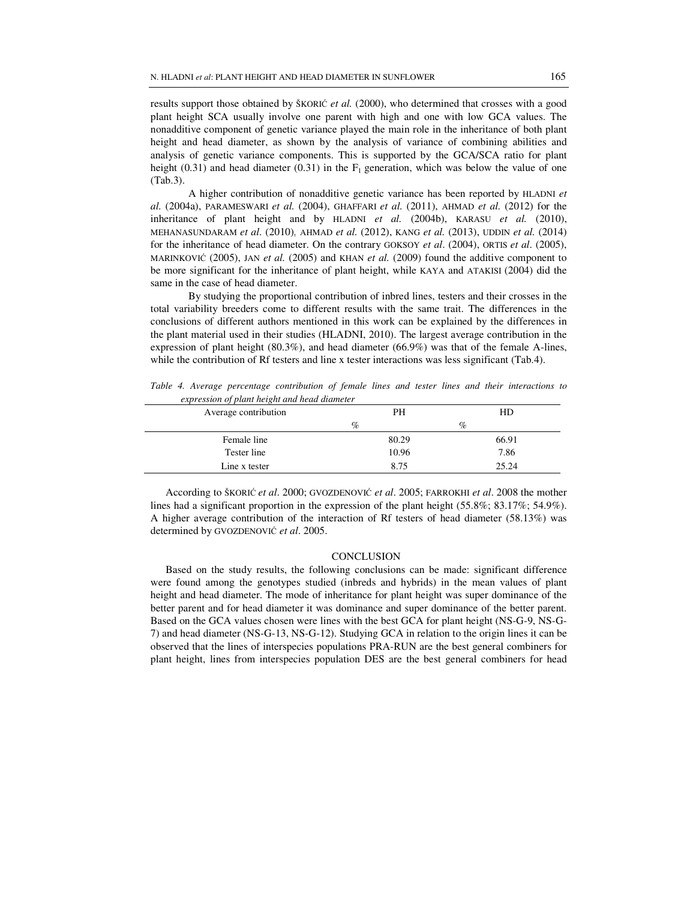results support those obtained by ŠKORIĆ *et al.* (2000), who determined that crosses with a good plant height SCA usually involve one parent with high and one with low GCA values. The nonadditive component of genetic variance played the main role in the inheritance of both plant height and head diameter, as shown by the analysis of variance of combining abilities and analysis of genetic variance components. This is supported by the GCA/SCA ratio for plant height (0.31) and head diameter (0.31) in the  $F_1$  generation, which was below the value of one (Tab.3).

A higher contribution of nonadditive genetic variance has been reported by HLADNI *et al.* (2004a), PARAMESWARI *et al.* (2004), GHAFFARI *et al.* (2011), AHMAD *et al.* (2012) for the inheritance of plant height and by HLADNI *et al.* (2004b), KARASU *et al.* (2010), MEHANASUNDARAM *et al*. (2010), AHMAD *et al.* (2012), KANG *et al.* (2013), UDDIN *et al.* (2014) for the inheritance of head diameter. On the contrary GOKSOY *et al*. (2004), ORTIS *et al*. (2005), MARINKOVIĆ (2005), JAN *et al.* (2005) and KHAN *et al.* (2009) found the additive component to be more significant for the inheritance of plant height, while KAYA and ATAKISI (2004) did the same in the case of head diameter.

By studying the proportional contribution of inbred lines, testers and their crosses in the total variability breeders come to different results with the same trait. The differences in the conclusions of different authors mentioned in this work can be explained by the differences in the plant material used in their studies (HLADNI, 2010). The largest average contribution in the expression of plant height (80.3%), and head diameter (66.9%) was that of the female A-lines, while the contribution of Rf testers and line x tester interactions was less significant (Tab.4).

*Table 4. Average percentage contribution of female lines and tester lines and their interactions to expression of plant height and head diameter* 

| expression of plant neight and nead alameter |       |       |  |  |
|----------------------------------------------|-------|-------|--|--|
| Average contribution                         | PH    | HD    |  |  |
|                                              | $\%$  | $\%$  |  |  |
| Female line                                  | 80.29 | 66.91 |  |  |
| Tester line                                  | 10.96 | 7.86  |  |  |
| Line x tester                                | 8.75  | 25.24 |  |  |

According to ŠKORIĆ *et al*. 2000; GVOZDENOVIĆ *et al*. 2005; FARROKHI *et al*. 2008 the mother lines had a significant proportion in the expression of the plant height (55.8%; 83.17%; 54.9%). A higher average contribution of the interaction of Rf testers of head diameter (58.13%) was determined by GVOZDENOVIĆ *et al*. 2005.

## **CONCLUSION**

Based on the study results, the following conclusions can be made: significant difference were found among the genotypes studied (inbreds and hybrids) in the mean values of plant height and head diameter. The mode of inheritance for plant height was super dominance of the better parent and for head diameter it was dominance and super dominance of the better parent. Based on the GCA values chosen were lines with the best GCA for plant height (NS-G-9, NS-G-7) and head diameter (NS-G-13, NS-G-12). Studying GCA in relation to the origin lines it can be observed that the lines of interspecies populations PRA-RUN are the best general combiners for plant height, lines from interspecies population DES are the best general combiners for head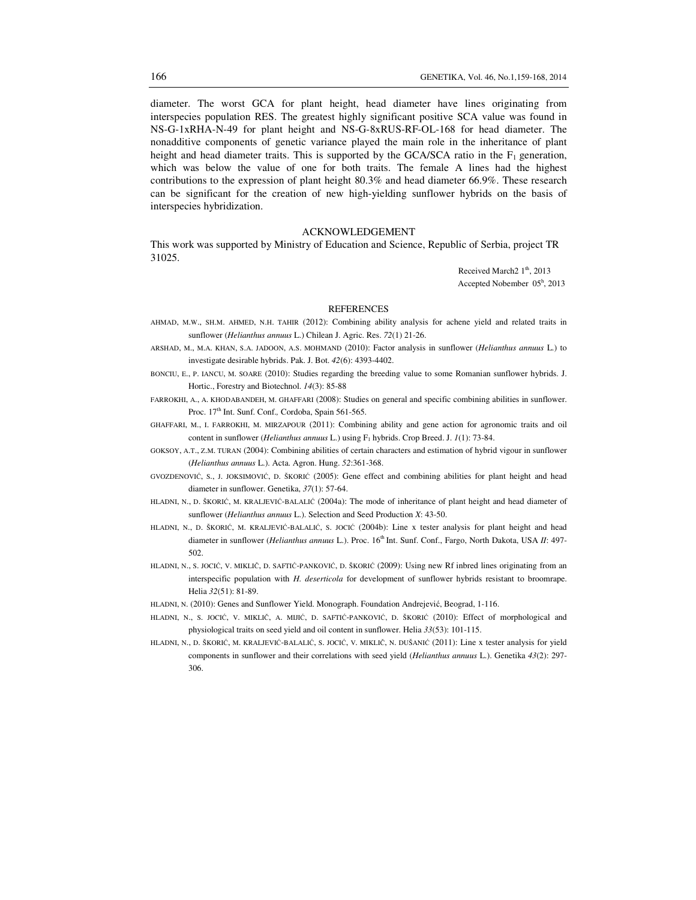diameter. The worst GCA for plant height, head diameter have lines originating from interspecies population RES. The greatest highly significant positive SCA value was found in NS-G-1xRHA-N-49 for plant height and NS-G-8xRUS-RF-OL-168 for head diameter. The nonadditive components of genetic variance played the main role in the inheritance of plant height and head diameter traits. This is supported by the GCA/SCA ratio in the  $F_1$  generation, which was below the value of one for both traits. The female A lines had the highest contributions to the expression of plant height 80.3% and head diameter 66.9%. These research can be significant for the creation of new high-yielding sunflower hybrids on the basis of interspecies hybridization.

## ACKNOWLEDGEMENT

This work was supported by Ministry of Education and Science, Republic of Serbia, project TR 31025.

> Received March<sub>2</sub> 1<sup>th</sup>, 2013 Accepted Nobember 05<sup>h</sup> , 2013

#### **REFERENCES**

- AHMAD, M.W., SH.M. AHMED, N.H. TAHIR (2012): Combining ability analysis for achene yield and related traits in sunflower (*Helianthus annuus* L.) Chilean J. Agric. Res. *72*(1) 21-26.
- ARSHAD, M., M.A. KHAN, S.A. JADOON, A.S. MOHMAND (2010): Factor analysis in sunflower (*Helianthus annuus* L.) to investigate desirable hybrids. Pak. J. Bot. *42*(6): 4393-4402.
- BONCIU, E., P. IANCU, M. SOARE (2010): Studies regarding the breeding value to some Romanian sunflower hybrids. J. Hortic., Forestry and Biotechnol. *14*(3): 85-88

FARROKHI, A., A. KHODABANDEH, M. GHAFFARI (2008): Studies on general and specific combining abilities in sunflower. Proc. 17th Int. Sunf. Conf.*,* Cordoba, Spain 561-565.

- GHAFFARI, M., I. FARROKHI, M. MIRZAPOUR (2011): Combining ability and gene action for agronomic traits and oil content in sunflower (*Helianthus annuus* L.) using F<sub>1</sub> hybrids. Crop Breed. J. 1(1): 73-84.
- GOKSOY, A.T., Z.M. TURAN (2004): Combining abilities of certain characters and estimation of hybrid vigour in sunflower (*Helianthus annuus* L.). Acta. Agron. Hung. *52*:361-368.
- GVOZDENOVIĆ, S., J. JOKSIMOVIĆ, D. ŠKORIĆ (2005): Gene effect and combining abilities for plant height and head diameter in sunflower. Genetika, *37*(1): 57-64.
- HLADNI, N., D. ŠKORIĆ, M. KRALJEVIĆ-BALALIĆ (2004a): The mode of inheritance of plant height and head diameter of sunflower (*Helianthus annuus* L.). Selection and Seed Production *X*: 43-50.
- HLADNI, N., D. ŠKORIĆ, M. KRALJEVIĆ-BALALIĆ, S. JOCIĆ (2004b): Line x tester analysis for plant height and head diameter in sunflower (*Helianthus annuus* L.). Proc. 16<sup>th</sup> Int. Sunf. Conf., Fargo, North Dakota, USA *II*: 497-502.
- HLADNI, N., S. JOCIĆ, V. MIKLIČ, D. SAFTIĆ-PANKOVIĆ, D. ŠKORIĆ (2009): Using new Rf inbred lines originating from an interspecific population with *H. deserticola* for development of sunflower hybrids resistant to broomrape. Helia *32*(51): 81-89.
- HLADNI, N. (2010): Genes and Sunflower Yield. Monograph. Foundation Andrejević, Beograd, 1-116.
- HLADNI, N., S. JOCIĆ, V. MIKLIČ, A. MIJIĆ, D. SAFTIĆ-PANKOVIĆ, D. ŠKORIĆ (2010): Effect of morphological and physiological traits on seed yield and oil content in sunflower. Helia *33*(53): 101-115.
- HLADNI, N., D. ŠKORIĆ, M. KRALJEVIĆ-BALALIĆ, S. JOCIĆ, V. MIKLIČ, N. DUŠANIĆ (2011): Line x tester analysis for yield components in sunflower and their correlations with seed yield (*Helianthus annuus* L.). Genetika *43*(2): 297- 306.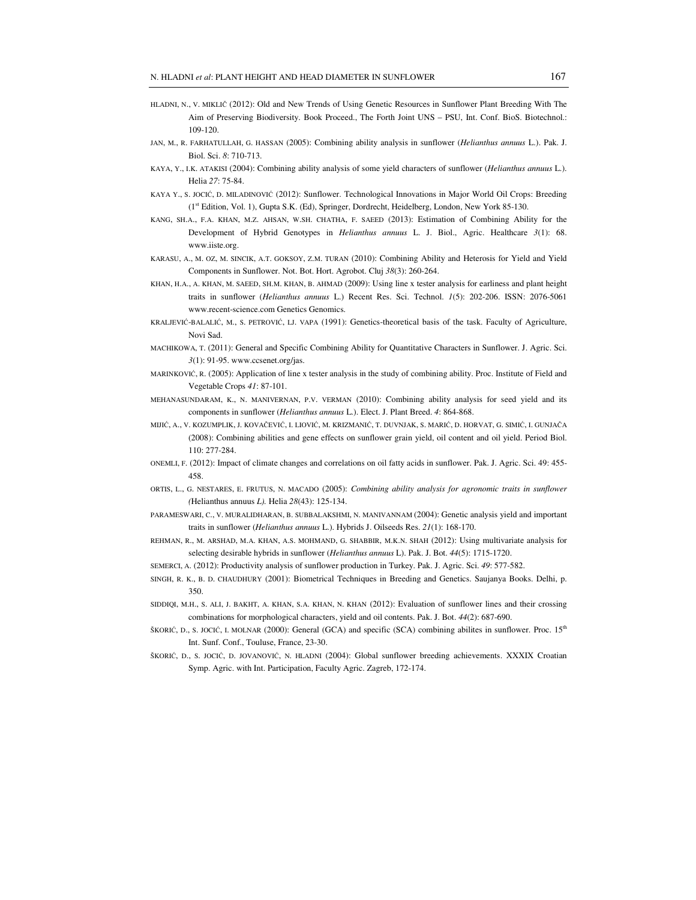- HLADNI, N., V. MIKLIČ (2012): Old and New Trends of Using Genetic Resources in Sunflower Plant Breeding With The Aim of Preserving Biodiversity. Book Proceed., The Forth Joint UNS – PSU, Int. Conf. BioS. Biotechnol.: 109-120.
- JAN, M., R. FARHATULLAH, G. HASSAN (2005): Combining ability analysis in sunflower (*Helianthus annuus* L.). Pak. J. Biol. Sci. *8*: 710-713.
- KAYA, Y., I.K. ATAKISI (2004): Combining ability analysis of some yield characters of sunflower (*Helianthus annuus* L.). Helia *27*: 75-84.
- KAYA Y., S. JOCIĆ, D. MILADINOVIĆ (2012): Sunflower. Technological Innovations in Major World Oil Crops: Breeding (1st Edition, Vol. 1), Gupta S.K. (Ed), Springer, Dordrecht, Heidelberg, London, New York 85-130.
- KANG, SH.A., F.A. KHAN, M.Z. AHSAN, W.SH. CHATHA, F. SAEED (2013): Estimation of Combining Ability for the Development of Hybrid Genotypes in *Helianthus annuus* L. J. Biol., Agric. Healthcare *3*(1): 68. www.iiste.org.
- KARASU, A., M. OZ, M. SINCIK, A.T. GOKSOY, Z.M. TURAN (2010): Combining Ability and Heterosis for Yield and Yield Components in Sunflower. Not. Bot. Hort. Agrobot. Cluj *38*(3): 260-264.
- KHAN, H.A., A. KHAN, M. SAEED, SH.M. KHAN, B. AHMAD (2009): Using line x tester analysis for earliness and plant height traits in sunflower (*Helianthus annuus* L.) Recent Res. Sci. Technol. *1*(5): 202-206. ISSN: 2076-5061 www.recent-science.com Genetics Genomics.
- KRALJEVIĆ-BALALIĆ, M., S. PETROVIĆ, LJ. VAPA (1991): Genetics-theoretical basis of the task. Faculty of Agriculture, Novi Sad.
- MACHIKOWA, T. (2011): General and Specific Combining Ability for Quantitative Characters in Sunflower. J. Agric. Sci. *3*(1): 91-95. www.ccsenet.org/jas.
- MARINKOVIĆ, R. (2005): Application of line x tester analysis in the study of combining ability. Proc. Institute of Field and Vegetable Crops *41*: 87-101.
- MEHANASUNDARAM, K., N. MANIVERNAN, P.V. VERMAN (2010): Combining ability analysis for seed yield and its components in sunflower (*Helianthus annuus* L.). Elect. J. Plant Breed. *4*: 864-868.
- MIJIĆ, A., V. KOZUMPLIK, J. KOVAČEVIĆ, I. LIOVIĆ, M. KRIZMANIĆ, T. DUVNJAK, S. MARIĆ, D. HORVAT, G. SIMIĆ, I. GUNJAČA (2008): Combining abilities and gene effects on sunflower grain yield, oil content and oil yield. Period Biol. 110: 277-284.
- ONEMLI, F. (2012): Impact of climate changes and correlations on oil fatty acids in sunflower. Pak. J. Agric. Sci. 49: 455- 458.
- ORTIS, L., G. NESTARES, E. FRUTUS, N. MACADO (2005): *Combining ability analysis for agronomic traits in sunflower (*Helianthus annuus *L).* Helia *28*(43): 125-134.
- PARAMESWARI, C., V. MURALIDHARAN, B. SUBBALAKSHMI, N. MANIVANNAM (2004): Genetic analysis yield and important traits in sunflower (*Helianthus annuus* L.). Hybrids J. Oilseeds Res. *21*(1): 168-170.
- REHMAN, R., M. ARSHAD, M.A. KHAN, A.S. MOHMAND, G. SHABBIR, M.K.N. SHAH (2012): Using multivariate analysis for selecting desirable hybrids in sunflower (*Helianthus annuus* L). Pak. J. Bot. *44*(5): 1715-1720.
- SEMERCI, A. (2012): Productivity analysis of sunflower production in Turkey. Pak. J. Agric. Sci. *49*: 577-582.
- SINGH, R. K., B. D. CHAUDHURY (2001): Biometrical Techniques in Breeding and Genetics. Saujanya Books. Delhi, p. 350.
- SIDDIQI, M.H., S. ALI, J. BAKHT, A. KHAN, S.A. KHAN, N. KHAN (2012): Evaluation of sunflower lines and their crossing combinations for morphological characters, yield and oil contents. Pak. J. Bot. *44*(2): 687-690.
- ŠKORIĆ, D., S. JOCIĆ, I. MOLNAR (2000): General (GCA) and specific (SCA) combining abilites in sunflower. Proc.  $15<sup>th</sup>$ Int. Sunf. Conf., Touluse, France, 23-30.
- ŠKORIĆ, D., S. JOCIĆ, D. JOVANOVIĆ, N. HLADNI (2004): Global sunflower breeding achievements. XXXIX Croatian Symp. Agric. with Int. Participation, Faculty Agric. Zagreb, 172-174.